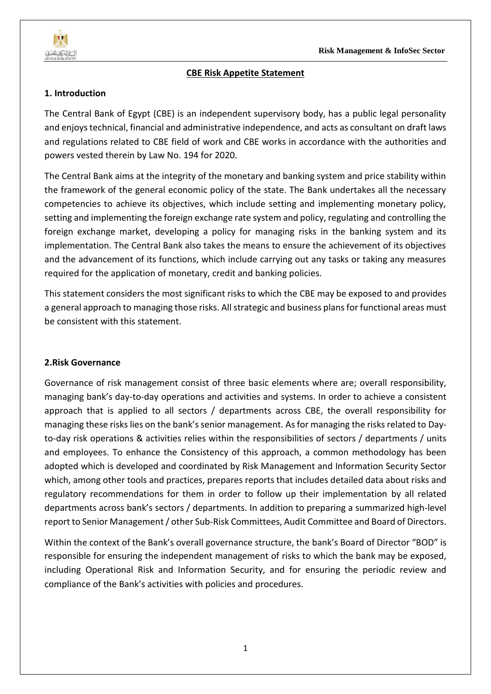

#### **CBE Risk Appetite Statement**

#### **1. Introduction**

The Central Bank of Egypt (CBE) is an independent supervisory body, has a public legal personality and enjoys technical, financial and administrative independence, and acts as consultant on draft laws and regulations related to CBE field of work and CBE works in accordance with the authorities and powers vested therein by Law No. 194 for 2020.

The Central Bank aims at the integrity of the monetary and banking system and price stability within the framework of the general economic policy of the state. The Bank undertakes all the necessary competencies to achieve its objectives, which include setting and implementing monetary policy, setting and implementing the foreign exchange rate system and policy, regulating and controlling the foreign exchange market, developing a policy for managing risks in the banking system and its implementation. The Central Bank also takes the means to ensure the achievement of its objectives and the advancement of its functions, which include carrying out any tasks or taking any measures required for the application of monetary, credit and banking policies.

This statement considers the most significant risks to which the CBE may be exposed to and provides a general approach to managing those risks. All strategic and business plans for functional areas must be consistent with this statement.

#### **2.Risk Governance**

Governance of risk management consist of three basic elements where are; overall responsibility, managing bank's day-to-day operations and activities and systems. In order to achieve a consistent approach that is applied to all sectors / departments across CBE, the overall responsibility for managing these risks lies on the bank's senior management. As for managing the risks related to Dayto-day risk operations & activities relies within the responsibilities of sectors / departments / units and employees. To enhance the Consistency of this approach, a common methodology has been adopted which is developed and coordinated by Risk Management and Information Security Sector which, among other tools and practices, prepares reports that includes detailed data about risks and regulatory recommendations for them in order to follow up their implementation by all related departments across bank's sectors / departments. In addition to preparing a summarized high-level report to Senior Management/ other Sub-Risk Committees, Audit Committee and Board of Directors.

Within the context of the Bank's overall governance structure, the bank's Board of Director "BOD" is responsible for ensuring the independent management of risks to which the bank may be exposed, including Operational Risk and Information Security, and for ensuring the periodic review and compliance of the Bank's activities with policies and procedures.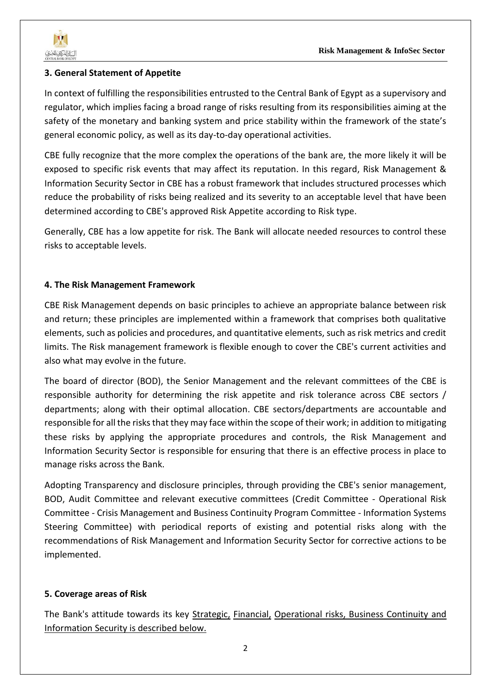## **3. General Statement of Appetite**

In context of fulfilling the responsibilities entrusted to the Central Bank of Egypt as a supervisory and regulator, which implies facing a broad range of risks resulting from its responsibilities aiming at the safety of the monetary and banking system and price stability within the framework of the state's general economic policy, as well as its day-to-day operational activities.

CBE fully recognize that the more complex the operations of the bank are, the more likely it will be exposed to specific risk events that may affect its reputation. In this regard, Risk Management & Information Security Sector in CBE has a robust framework that includes structured processes which reduce the probability of risks being realized and its severity to an acceptable level that have been determined according to CBE's approved Risk Appetite according to Risk type.

Generally, CBE has a low appetite for risk. The Bank will allocate needed resources to control these risks to acceptable levels.

## **4. The Risk Management Framework**

CBE Risk Management depends on basic principles to achieve an appropriate balance between risk and return; these principles are implemented within a framework that comprises both qualitative elements, such as policies and procedures, and quantitative elements, such as risk metrics and credit limits. The Risk management framework is flexible enough to cover the CBE's current activities and also what may evolve in the future.

The board of director (BOD), the Senior Management and the relevant committees of the CBE is responsible authority for determining the risk appetite and risk tolerance across CBE sectors / departments; along with their optimal allocation. CBE sectors/departments are accountable and responsible for all the risks that they may face within the scope of their work; in addition to mitigating these risks by applying the appropriate procedures and controls, the Risk Management and Information Security Sector is responsible for ensuring that there is an effective process in place to manage risks across the Bank.

Adopting Transparency and disclosure principles, through providing the CBE's senior management, BOD, Audit Committee and relevant executive committees (Credit Committee - Operational Risk Committee - Crisis Management and Business Continuity Program Committee - Information Systems Steering Committee) with periodical reports of existing and potential risks along with the recommendations of Risk Management and Information Security Sector for corrective actions to be implemented.

## **5. Coverage areas of Risk**

The Bank's attitude towards its key Strategic, Financial, Operational risks, Business Continuity and Information Security is described below.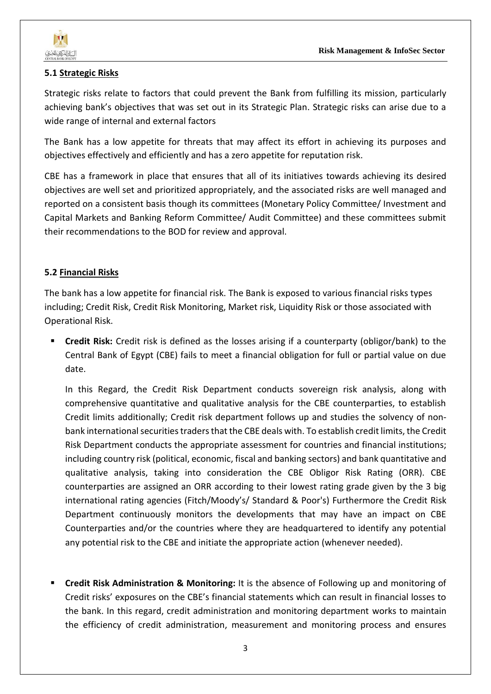

## **5.1 Strategic Risks**

Strategic risks relate to factors that could prevent the Bank from fulfilling its mission, particularly achieving bank's objectives that was set out in its Strategic Plan. Strategic risks can arise due to a wide range of internal and external factors

The Bank has a low appetite for threats that may affect its effort in achieving its purposes and objectives effectively and efficiently and has a zero appetite for reputation risk.

CBE has a framework in place that ensures that all of its initiatives towards achieving its desired objectives are well set and prioritized appropriately, and the associated risks are well managed and reported on a consistent basis though its committees (Monetary Policy Committee/ Investment and Capital Markets and Banking Reform Committee/ Audit Committee) and these committees submit their recommendations to the BOD for review and approval.

# **5.2 Financial Risks**

The bank has a low appetite for financial risk. The Bank is exposed to various financial risks types including; Credit Risk, Credit Risk Monitoring, Market risk, Liquidity Risk or those associated with Operational Risk.

**Credit Risk:** Credit risk is defined as the losses arising if a counterparty (obligor/bank) to the Central Bank of Egypt (CBE) fails to meet a financial obligation for full or partial value on due date.

In this Regard, the Credit Risk Department conducts sovereign risk analysis, along with comprehensive quantitative and qualitative analysis for the CBE counterparties, to establish Credit limits additionally; Credit risk department follows up and studies the solvency of nonbank international securities traders that the CBE deals with. To establish credit limits, the Credit Risk Department conducts the appropriate assessment for countries and financial institutions; including country risk (political, economic, fiscal and banking sectors) and bank quantitative and qualitative analysis, taking into consideration the CBE Obligor Risk Rating (ORR). CBE counterparties are assigned an ORR according to their lowest rating grade given by the 3 big international rating agencies (Fitch/Moody's/ Standard & Poor's) Furthermore the Credit Risk Department continuously monitors the developments that may have an impact on CBE Counterparties and/or the countries where they are headquartered to identify any potential any potential risk to the CBE and initiate the appropriate action (whenever needed).

**Credit Risk Administration & Monitoring:** It is the absence of Following up and monitoring of Credit risks' exposures on the CBE's financial statements which can result in financial losses to the bank. In this regard, credit administration and monitoring department works to maintain the efficiency of credit administration, measurement and monitoring process and ensures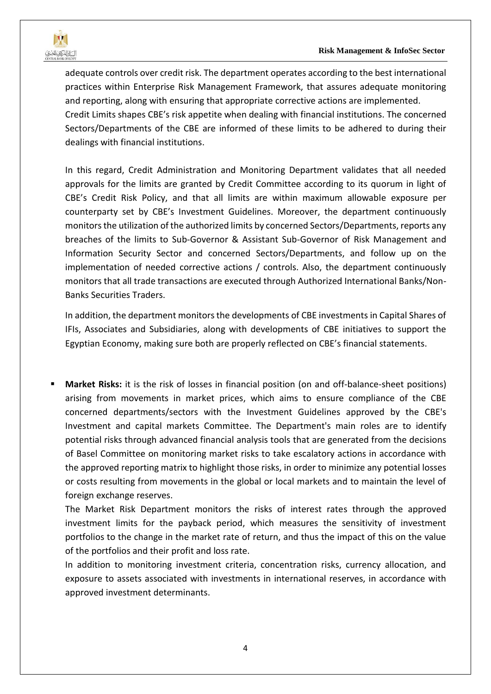adequate controls over credit risk. The department operates according to the best international practices within Enterprise Risk Management Framework, that assures adequate monitoring and reporting, along with ensuring that appropriate corrective actions are implemented. Credit Limits shapes CBE's risk appetite when dealing with financial institutions. The concerned Sectors/Departments of the CBE are informed of these limits to be adhered to during their dealings with financial institutions.

In this regard, Credit Administration and Monitoring Department validates that all needed approvals for the limits are granted by Credit Committee according to its quorum in light of CBE's Credit Risk Policy, and that all limits are within maximum allowable exposure per counterparty set by CBE's Investment Guidelines. Moreover, the department continuously monitors the utilization of the authorized limits by concerned Sectors/Departments, reports any breaches of the limits to Sub-Governor & Assistant Sub-Governor of Risk Management and Information Security Sector and concerned Sectors/Departments, and follow up on the implementation of needed corrective actions / controls. Also, the department continuously monitors that all trade transactions are executed through Authorized International Banks/Non-Banks Securities Traders.

In addition, the department monitors the developments of CBE investments in Capital Shares of IFIs, Associates and Subsidiaries, along with developments of CBE initiatives to support the Egyptian Economy, making sure both are properly reflected on CBE's financial statements.

**Market Risks:** it is the risk of losses in financial position (on and off-balance-sheet positions) arising from movements in market prices, which aims to ensure compliance of the CBE concerned departments/sectors with the Investment Guidelines approved by the CBE's Investment and capital markets Committee. The Department's main roles are to identify potential risks through advanced financial analysis tools that are generated from the decisions of Basel Committee on monitoring market risks to take escalatory actions in accordance with the approved reporting matrix to highlight those risks, in order to minimize any potential losses or costs resulting from movements in the global or local markets and to maintain the level of foreign exchange reserves.

The Market Risk Department monitors the risks of interest rates through the approved investment limits for the payback period, which measures the sensitivity of investment portfolios to the change in the market rate of return, and thus the impact of this on the value of the portfolios and their profit and loss rate.

In addition to monitoring investment criteria, concentration risks, currency allocation, and exposure to assets associated with investments in international reserves, in accordance with approved investment determinants.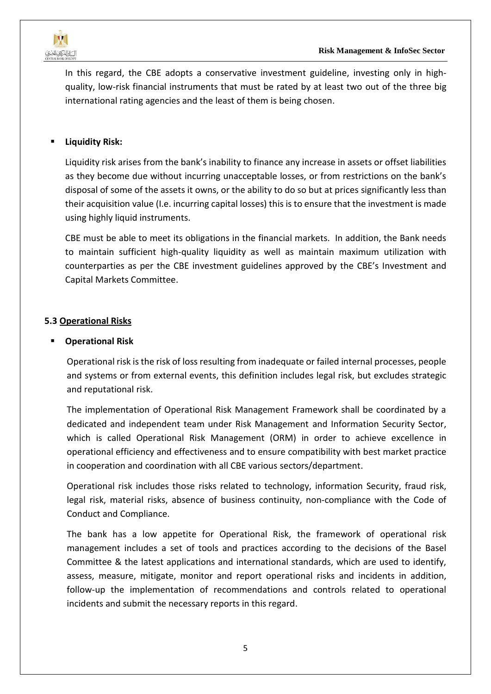

In this regard, the CBE adopts a conservative investment guideline, investing only in highquality, low-risk financial instruments that must be rated by at least two out of the three big international rating agencies and the least of them is being chosen.

# **Liquidity Risk:**

Liquidity risk arises from the bank's inability to finance any increase in assets or offset liabilities as they become due without incurring unacceptable losses, or from restrictions on the bank's disposal of some of the assets it owns, or the ability to do so but at prices significantly less than their acquisition value (I.e. incurring capital losses) this is to ensure that the investment is made using highly liquid instruments.

CBE must be able to meet its obligations in the financial markets. In addition, the Bank needs to maintain sufficient high-quality liquidity as well as maintain maximum utilization with counterparties as per the CBE investment guidelines approved by the CBE's Investment and Capital Markets Committee.

## **5.3 Operational Risks**

#### **Operational Risk**

Operational risk is the risk of loss resulting from inadequate or failed internal processes, people and systems or from external events, this definition includes legal risk, but excludes strategic and reputational risk.

The implementation of Operational Risk Management Framework shall be coordinated by a dedicated and independent team under Risk Management and Information Security Sector, which is called Operational Risk Management (ORM) in order to achieve excellence in operational efficiency and effectiveness and to ensure compatibility with best market practice in cooperation and coordination with all CBE various sectors/department.

Operational risk includes those risks related to technology, information Security, fraud risk, legal risk, material risks, absence of business continuity, non-compliance with the Code of Conduct and Compliance.

The bank has a low appetite for Operational Risk, the framework of operational risk management includes a set of tools and practices according to the decisions of the Basel Committee & the latest applications and international standards, which are used to identify, assess, measure, mitigate, monitor and report operational risks and incidents in addition, follow-up the implementation of recommendations and controls related to operational incidents and submit the necessary reports in this regard.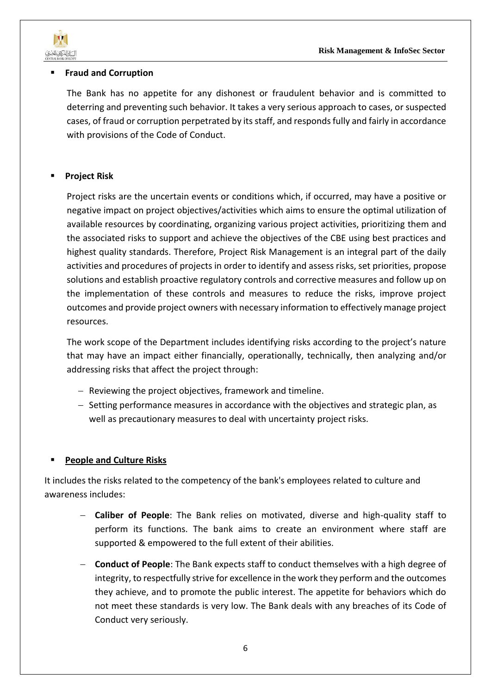

#### ▪ **Fraud and Corruption**

The Bank has no appetite for any dishonest or fraudulent behavior and is committed to deterring and preventing such behavior. It takes a very serious approach to cases, or suspected cases, of fraud or corruption perpetrated by its staff, and responds fully and fairly in accordance with provisions of the Code of Conduct.

# **Project Risk**

Project risks are the uncertain events or conditions which, if occurred, may have a positive or negative impact on project objectives/activities which aims to ensure the optimal utilization of available resources by coordinating, organizing various project activities, prioritizing them and the associated risks to support and achieve the objectives of the CBE using best practices and highest quality standards. Therefore, Project Risk Management is an integral part of the daily activities and procedures of projects in order to identify and assess risks, set priorities, propose solutions and establish proactive regulatory controls and corrective measures and follow up on the implementation of these controls and measures to reduce the risks, improve project outcomes and provide project owners with necessary information to effectively manage project resources.

The work scope of the Department includes identifying risks according to the project's nature that may have an impact either financially, operationally, technically, then analyzing and/or addressing risks that affect the project through:

- − Reviewing the project objectives, framework and timeline.
- − Setting performance measures in accordance with the objectives and strategic plan, as well as precautionary measures to deal with uncertainty project risks.

## **People and Culture Risks**

It includes the risks related to the competency of the bank's employees related to culture and awareness includes:

- − **Caliber of People**: The Bank relies on motivated, diverse and high-quality staff to perform its functions. The bank aims to create an environment where staff are supported & empowered to the full extent of their abilities.
- − **Conduct of People**: The Bank expects staff to conduct themselves with a high degree of integrity, to respectfully strive for excellence in the work they perform and the outcomes they achieve, and to promote the public interest. The appetite for behaviors which do not meet these standards is very low. The Bank deals with any breaches of its Code of Conduct very seriously.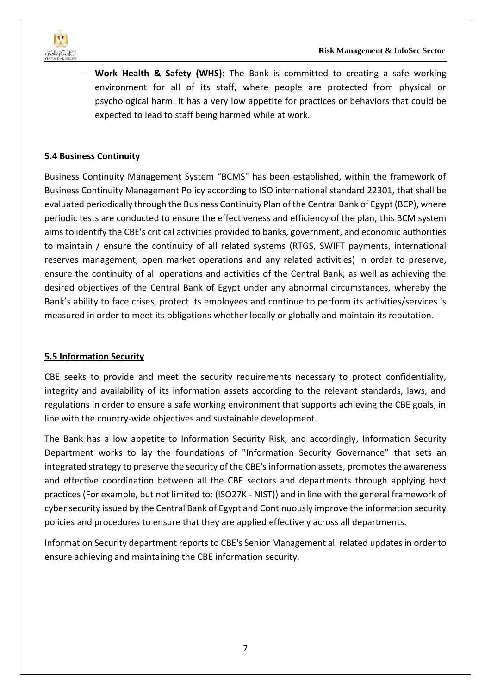

− **Work Health & Safety (WHS)**: The Bank is committed to creating a safe working environment for all of its staff, where people are protected from physical or psychological harm. It has a very low appetite for practices or behaviors that could be expected to lead to staff being harmed while at work.

## **5.4 Business Continuity**

Business Continuity Management System "BCMS" has been established, within the framework of Business Continuity Management Policy according to ISO international standard 22301, that shall be evaluated periodically through the Business Continuity Plan of the Central Bank of Egypt (BCP), where periodic tests are conducted to ensure the effectiveness and efficiency of the plan, this BCM system aims to identify the CBE's critical activities provided to banks, government, and economic authorities to maintain / ensure the continuity of all related systems (RTGS, SWIFT payments, international reserves management, open market operations and any related activities) in order to preserve, ensure the continuity of all operations and activities of the Central Bank, as well as achieving the desired objectives of the Central Bank of Egypt under any abnormal circumstances, whereby the Bank's ability to face crises, protect its employees and continue to perform its activities/services is measured in order to meet its obligations whether locally or globally and maintain its reputation.

#### **5.5 Information Security**

CBE seeks to provide and meet the security requirements necessary to protect confidentiality, integrity and availability of its information assets according to the relevant standards, laws, and regulations in order to ensure a safe working environment that supports achieving the CBE goals, in line with the country-wide objectives and sustainable development.

The Bank has a low appetite to Information Security Risk, and accordingly, Information Security Department works to lay the foundations of "Information Security Governance" that sets an integrated strategy to preserve the security of the CBE's information assets, promotes the awareness and effective coordination between all the CBE sectors and departments through applying best practices (For example, but not limited to: (ISO27K - NIST)) and in line with the general framework of cyber security issued by the Central Bank of Egypt and Continuously improve the information security policies and procedures to ensure that they are applied effectively across all departments.

Information Security department reports to CBE's Senior Management all related updates in order to ensure achieving and maintaining the CBE information security.